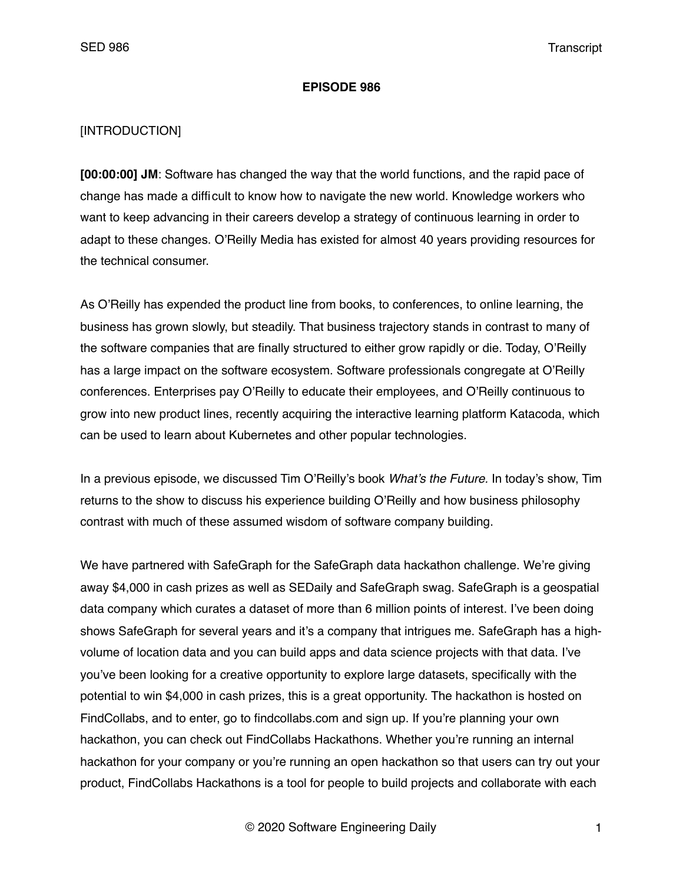### **EPISODE 986**

## [INTRODUCTION]

**[00:00:00] JM**: Software has changed the way that the world functions, and the rapid pace of change has made a difficult to know how to navigate the new world. Knowledge workers who want to keep advancing in their careers develop a strategy of continuous learning in order to adapt to these changes. O'Reilly Media has existed for almost 40 years providing resources for the technical consumer.

As O'Reilly has expended the product line from books, to conferences, to online learning, the business has grown slowly, but steadily. That business trajectory stands in contrast to many of the software companies that are finally structured to either grow rapidly or die. Today, O'Reilly has a large impact on the software ecosystem. Software professionals congregate at O'Reilly conferences. Enterprises pay O'Reilly to educate their employees, and O'Reilly continuous to grow into new product lines, recently acquiring the interactive learning platform Katacoda, which can be used to learn about Kubernetes and other popular technologies.

In a previous episode, we discussed Tim O'Reilly's book *What's the Future.* In today's show, Tim returns to the show to discuss his experience building O'Reilly and how business philosophy contrast with much of these assumed wisdom of software company building.

We have partnered with SafeGraph for the SafeGraph data hackathon challenge. We're giving away \$4,000 in cash prizes as well as SEDaily and SafeGraph swag. SafeGraph is a geospatial data company which curates a dataset of more than 6 million points of interest. I've been doing shows SafeGraph for several years and it's a company that intrigues me. SafeGraph has a highvolume of location data and you can build apps and data science projects with that data. I've you've been looking for a creative opportunity to explore large datasets, specifically with the potential to win \$4,000 in cash prizes, this is a great opportunity. The hackathon is hosted on FindCollabs, and to enter, go to findcollabs.com and sign up. If you're planning your own hackathon, you can check out FindCollabs Hackathons. Whether you're running an internal hackathon for your company or you're running an open hackathon so that users can try out your product, FindCollabs Hackathons is a tool for people to build projects and collaborate with each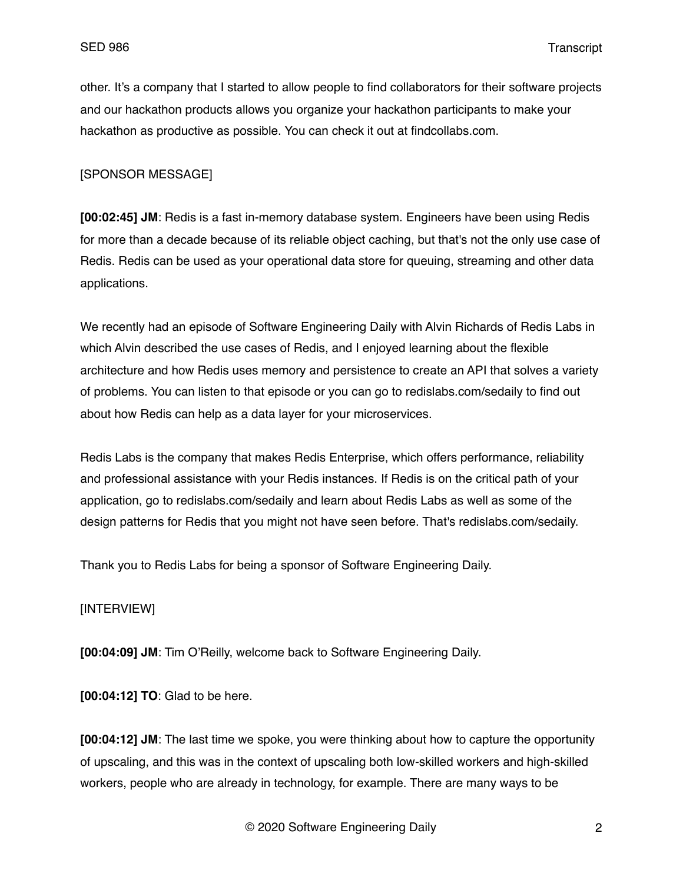other. It's a company that I started to allow people to find collaborators for their software projects and our hackathon products allows you organize your hackathon participants to make your hackathon as productive as possible. You can check it out at findcollabs.com.

# [SPONSOR MESSAGE]

**[00:02:45] JM**: Redis is a fast in-memory database system. Engineers have been using Redis for more than a decade because of its reliable object caching, but that's not the only use case of Redis. Redis can be used as your operational data store for queuing, streaming and other data applications.

We recently had an episode of Software Engineering Daily with Alvin Richards of Redis Labs in which Alvin described the use cases of Redis, and I enjoyed learning about the flexible architecture and how Redis uses memory and persistence to create an API that solves a variety of problems. You can listen to that episode or you can go to redislabs.com/sedaily to find out about how Redis can help as a data layer for your microservices.

Redis Labs is the company that makes Redis Enterprise, which offers performance, reliability and professional assistance with your Redis instances. If Redis is on the critical path of your application, go to redislabs.com/sedaily and learn about Redis Labs as well as some of the design patterns for Redis that you might not have seen before. That's redislabs.com/sedaily.

Thank you to Redis Labs for being a sponsor of Software Engineering Daily.

# [INTERVIEW]

**[00:04:09] JM**: Tim O'Reilly, welcome back to Software Engineering Daily.

**[00:04:12] TO**: Glad to be here.

**[00:04:12] JM**: The last time we spoke, you were thinking about how to capture the opportunity of upscaling, and this was in the context of upscaling both low-skilled workers and high-skilled workers, people who are already in technology, for example. There are many ways to be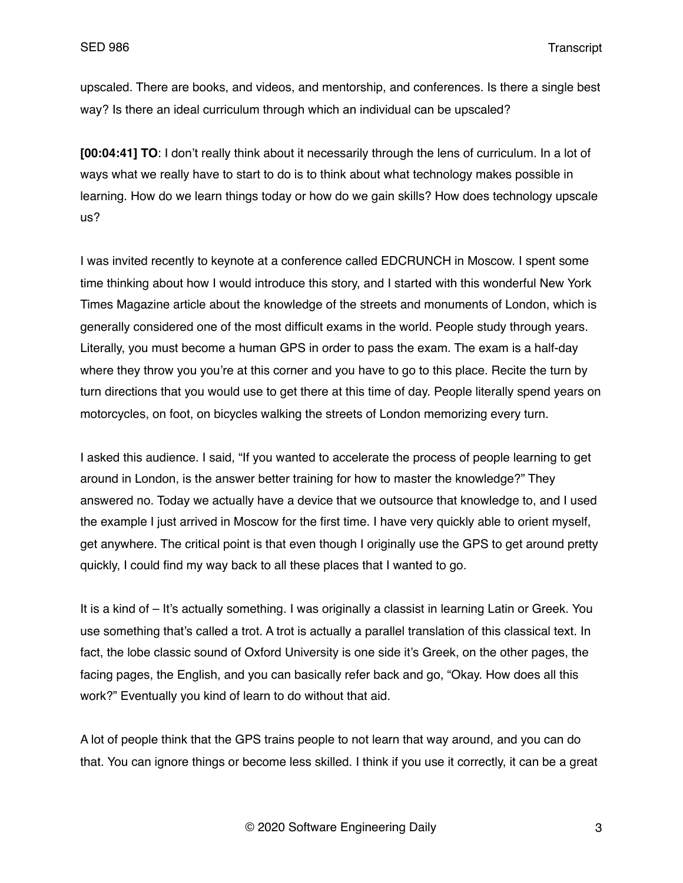upscaled. There are books, and videos, and mentorship, and conferences. Is there a single best way? Is there an ideal curriculum through which an individual can be upscaled?

**[00:04:41] TO**: I don't really think about it necessarily through the lens of curriculum. In a lot of ways what we really have to start to do is to think about what technology makes possible in learning. How do we learn things today or how do we gain skills? How does technology upscale us?

I was invited recently to keynote at a conference called EDCRUNCH in Moscow. I spent some time thinking about how I would introduce this story, and I started with this wonderful New York Times Magazine article about the knowledge of the streets and monuments of London, which is generally considered one of the most difficult exams in the world. People study through years. Literally, you must become a human GPS in order to pass the exam. The exam is a half-day where they throw you you're at this corner and you have to go to this place. Recite the turn by turn directions that you would use to get there at this time of day. People literally spend years on motorcycles, on foot, on bicycles walking the streets of London memorizing every turn.

I asked this audience. I said, "If you wanted to accelerate the process of people learning to get around in London, is the answer better training for how to master the knowledge?" They answered no. Today we actually have a device that we outsource that knowledge to, and I used the example I just arrived in Moscow for the first time. I have very quickly able to orient myself, get anywhere. The critical point is that even though I originally use the GPS to get around pretty quickly, I could find my way back to all these places that I wanted to go.

It is a kind of – It's actually something. I was originally a classist in learning Latin or Greek. You use something that's called a trot. A trot is actually a parallel translation of this classical text. In fact, the lobe classic sound of Oxford University is one side it's Greek, on the other pages, the facing pages, the English, and you can basically refer back and go, "Okay. How does all this work?" Eventually you kind of learn to do without that aid.

A lot of people think that the GPS trains people to not learn that way around, and you can do that. You can ignore things or become less skilled. I think if you use it correctly, it can be a great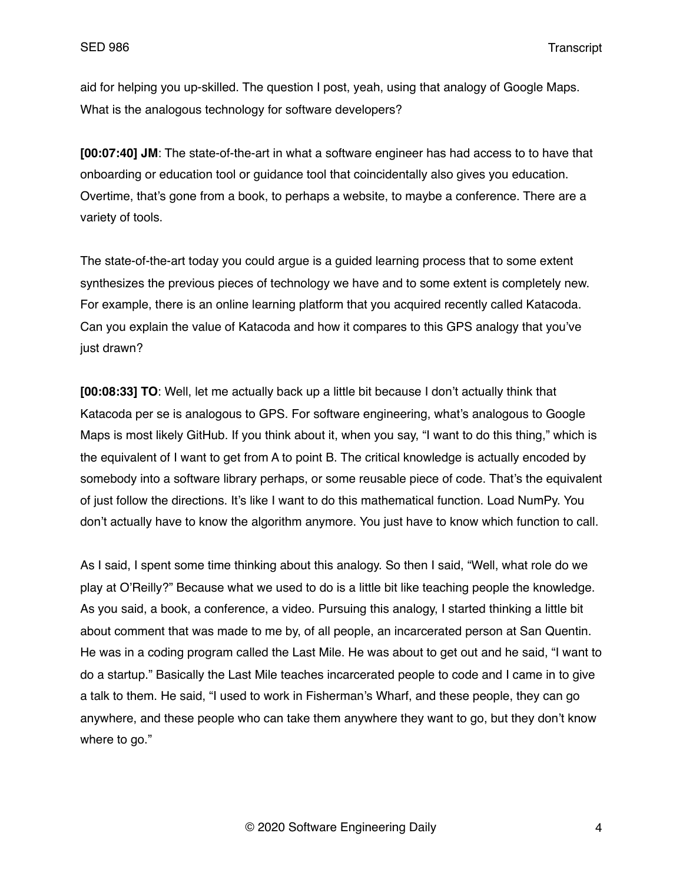aid for helping you up-skilled. The question I post, yeah, using that analogy of Google Maps. What is the analogous technology for software developers?

**[00:07:40] JM**: The state-of-the-art in what a software engineer has had access to to have that onboarding or education tool or guidance tool that coincidentally also gives you education. Overtime, that's gone from a book, to perhaps a website, to maybe a conference. There are a variety of tools.

The state-of-the-art today you could argue is a guided learning process that to some extent synthesizes the previous pieces of technology we have and to some extent is completely new. For example, there is an online learning platform that you acquired recently called Katacoda. Can you explain the value of Katacoda and how it compares to this GPS analogy that you've just drawn?

**[00:08:33] TO**: Well, let me actually back up a little bit because I don't actually think that Katacoda per se is analogous to GPS. For software engineering, what's analogous to Google Maps is most likely GitHub. If you think about it, when you say, "I want to do this thing," which is the equivalent of I want to get from A to point B. The critical knowledge is actually encoded by somebody into a software library perhaps, or some reusable piece of code. That's the equivalent of just follow the directions. It's like I want to do this mathematical function. Load NumPy. You don't actually have to know the algorithm anymore. You just have to know which function to call.

As I said, I spent some time thinking about this analogy. So then I said, "Well, what role do we play at O'Reilly?" Because what we used to do is a little bit like teaching people the knowledge. As you said, a book, a conference, a video. Pursuing this analogy, I started thinking a little bit about comment that was made to me by, of all people, an incarcerated person at San Quentin. He was in a coding program called the Last Mile. He was about to get out and he said, "I want to do a startup." Basically the Last Mile teaches incarcerated people to code and I came in to give a talk to them. He said, "I used to work in Fisherman's Wharf, and these people, they can go anywhere, and these people who can take them anywhere they want to go, but they don't know where to go."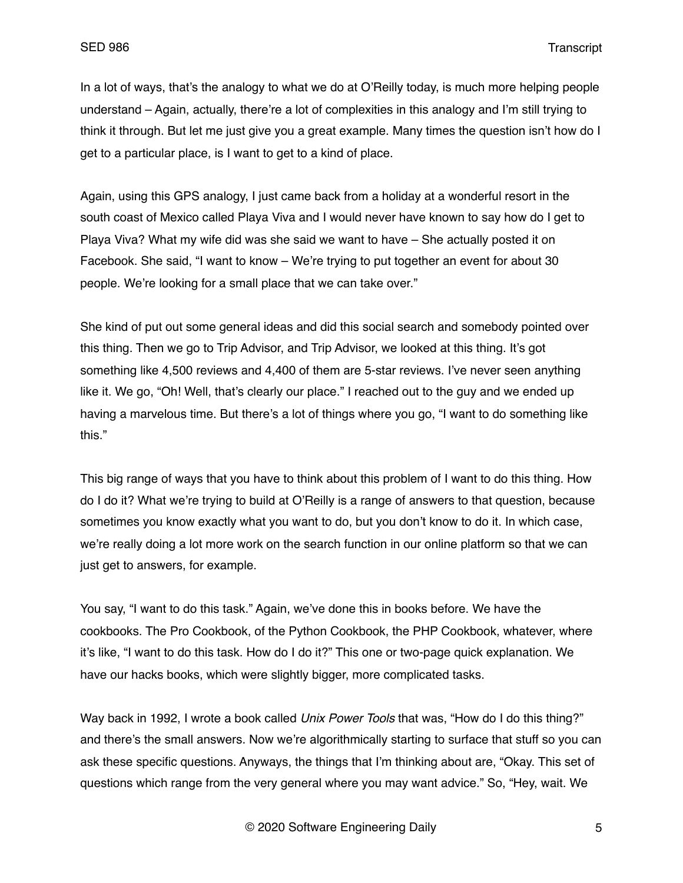In a lot of ways, that's the analogy to what we do at O'Reilly today, is much more helping people understand – Again, actually, there're a lot of complexities in this analogy and I'm still trying to think it through. But let me just give you a great example. Many times the question isn't how do I get to a particular place, is I want to get to a kind of place.

Again, using this GPS analogy, I just came back from a holiday at a wonderful resort in the south coast of Mexico called Playa Viva and I would never have known to say how do I get to Playa Viva? What my wife did was she said we want to have – She actually posted it on Facebook. She said, "I want to know – We're trying to put together an event for about 30 people. We're looking for a small place that we can take over."

She kind of put out some general ideas and did this social search and somebody pointed over this thing. Then we go to Trip Advisor, and Trip Advisor, we looked at this thing. It's got something like 4,500 reviews and 4,400 of them are 5-star reviews. I've never seen anything like it. We go, "Oh! Well, that's clearly our place." I reached out to the guy and we ended up having a marvelous time. But there's a lot of things where you go, "I want to do something like this."

This big range of ways that you have to think about this problem of I want to do this thing. How do I do it? What we're trying to build at O'Reilly is a range of answers to that question, because sometimes you know exactly what you want to do, but you don't know to do it. In which case, we're really doing a lot more work on the search function in our online platform so that we can just get to answers, for example.

You say, "I want to do this task." Again, we've done this in books before. We have the cookbooks. The Pro Cookbook, of the Python Cookbook, the PHP Cookbook, whatever, where it's like, "I want to do this task. How do I do it?" This one or two-page quick explanation. We have our hacks books, which were slightly bigger, more complicated tasks.

Way back in 1992, I wrote a book called *Unix Power Tools* that was, "How do I do this thing?" and there's the small answers. Now we're algorithmically starting to surface that stuff so you can ask these specific questions. Anyways, the things that I'm thinking about are, "Okay. This set of questions which range from the very general where you may want advice." So, "Hey, wait. We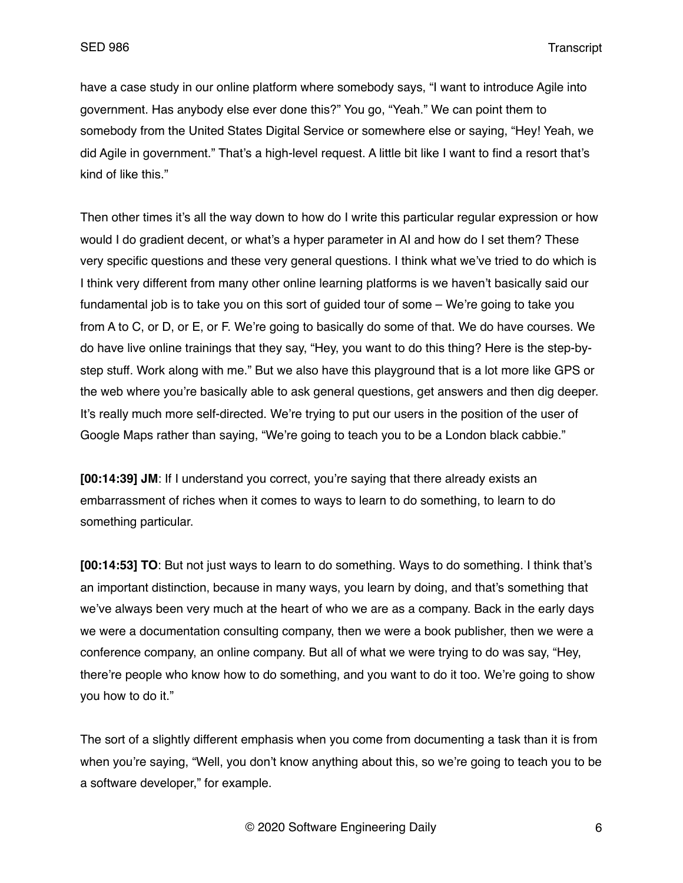have a case study in our online platform where somebody says, "I want to introduce Agile into government. Has anybody else ever done this?" You go, "Yeah." We can point them to somebody from the United States Digital Service or somewhere else or saying, "Hey! Yeah, we did Agile in government." That's a high-level request. A little bit like I want to find a resort that's kind of like this."

Then other times it's all the way down to how do I write this particular regular expression or how would I do gradient decent, or what's a hyper parameter in AI and how do I set them? These very specific questions and these very general questions. I think what we've tried to do which is I think very different from many other online learning platforms is we haven't basically said our fundamental job is to take you on this sort of guided tour of some – We're going to take you from A to C, or D, or E, or F. We're going to basically do some of that. We do have courses. We do have live online trainings that they say, "Hey, you want to do this thing? Here is the step-bystep stuff. Work along with me." But we also have this playground that is a lot more like GPS or the web where you're basically able to ask general questions, get answers and then dig deeper. It's really much more self-directed. We're trying to put our users in the position of the user of Google Maps rather than saying, "We're going to teach you to be a London black cabbie."

**[00:14:39] JM**: If I understand you correct, you're saying that there already exists an embarrassment of riches when it comes to ways to learn to do something, to learn to do something particular.

**[00:14:53] TO**: But not just ways to learn to do something. Ways to do something. I think that's an important distinction, because in many ways, you learn by doing, and that's something that we've always been very much at the heart of who we are as a company. Back in the early days we were a documentation consulting company, then we were a book publisher, then we were a conference company, an online company. But all of what we were trying to do was say, "Hey, there're people who know how to do something, and you want to do it too. We're going to show you how to do it."

The sort of a slightly different emphasis when you come from documenting a task than it is from when you're saying, "Well, you don't know anything about this, so we're going to teach you to be a software developer," for example.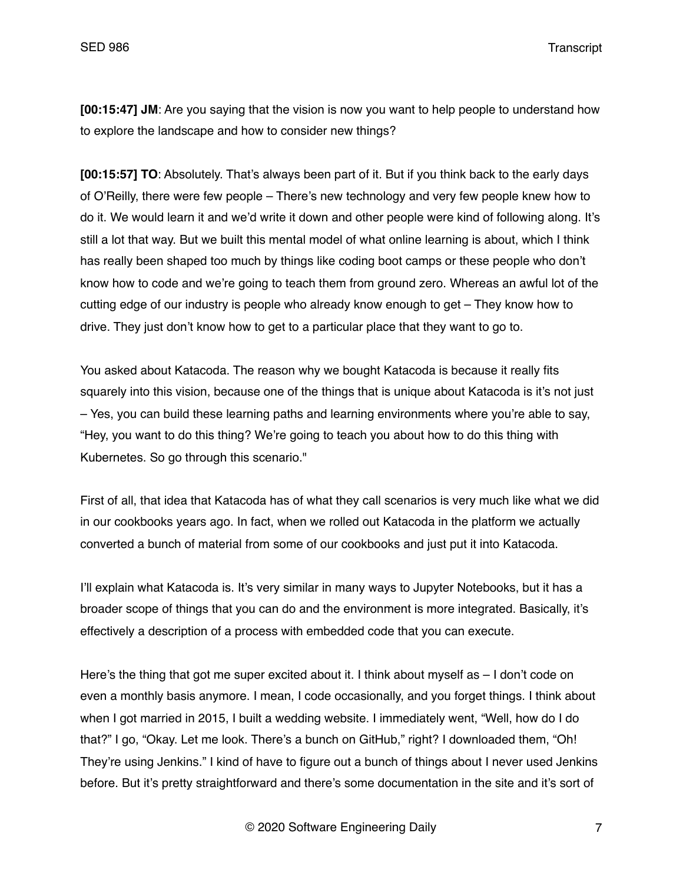**[00:15:47] JM**: Are you saying that the vision is now you want to help people to understand how to explore the landscape and how to consider new things?

**[00:15:57] TO**: Absolutely. That's always been part of it. But if you think back to the early days of O'Reilly, there were few people – There's new technology and very few people knew how to do it. We would learn it and we'd write it down and other people were kind of following along. It's still a lot that way. But we built this mental model of what online learning is about, which I think has really been shaped too much by things like coding boot camps or these people who don't know how to code and we're going to teach them from ground zero. Whereas an awful lot of the cutting edge of our industry is people who already know enough to get – They know how to drive. They just don't know how to get to a particular place that they want to go to.

You asked about Katacoda. The reason why we bought Katacoda is because it really fits squarely into this vision, because one of the things that is unique about Katacoda is it's not just – Yes, you can build these learning paths and learning environments where you're able to say, "Hey, you want to do this thing? We're going to teach you about how to do this thing with Kubernetes. So go through this scenario."

First of all, that idea that Katacoda has of what they call scenarios is very much like what we did in our cookbooks years ago. In fact, when we rolled out Katacoda in the platform we actually converted a bunch of material from some of our cookbooks and just put it into Katacoda.

I'll explain what Katacoda is. It's very similar in many ways to Jupyter Notebooks, but it has a broader scope of things that you can do and the environment is more integrated. Basically, it's effectively a description of a process with embedded code that you can execute.

Here's the thing that got me super excited about it. I think about myself as - I don't code on even a monthly basis anymore. I mean, I code occasionally, and you forget things. I think about when I got married in 2015, I built a wedding website. I immediately went, "Well, how do I do that?" I go, "Okay. Let me look. There's a bunch on GitHub," right? I downloaded them, "Oh! They're using Jenkins." I kind of have to figure out a bunch of things about I never used Jenkins before. But it's pretty straightforward and there's some documentation in the site and it's sort of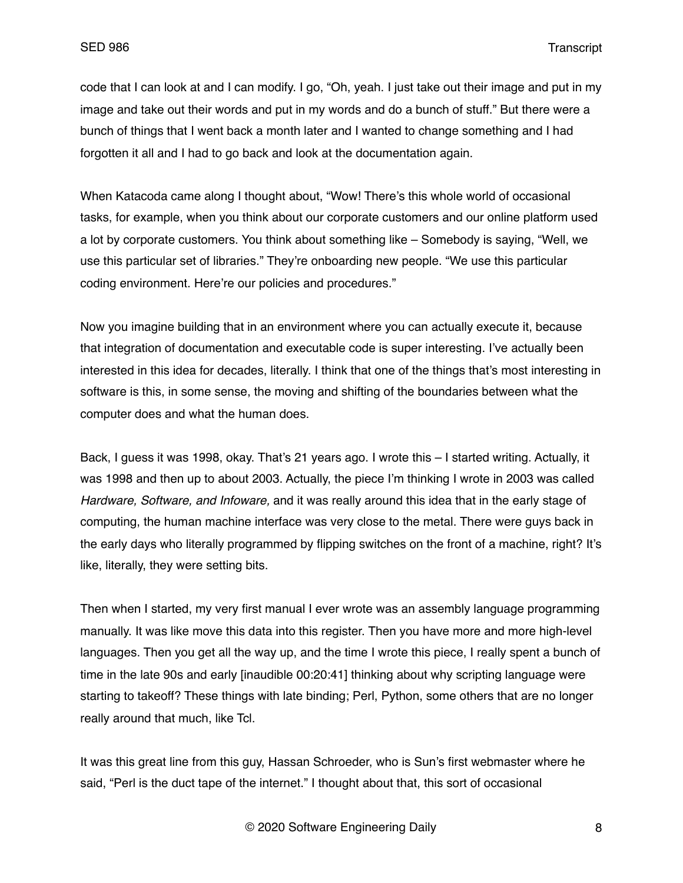code that I can look at and I can modify. I go, "Oh, yeah. I just take out their image and put in my image and take out their words and put in my words and do a bunch of stuff." But there were a bunch of things that I went back a month later and I wanted to change something and I had forgotten it all and I had to go back and look at the documentation again.

When Katacoda came along I thought about, "Wow! There's this whole world of occasional tasks, for example, when you think about our corporate customers and our online platform used a lot by corporate customers. You think about something like – Somebody is saying, "Well, we use this particular set of libraries." They're onboarding new people. "We use this particular coding environment. Here're our policies and procedures."

Now you imagine building that in an environment where you can actually execute it, because that integration of documentation and executable code is super interesting. I've actually been interested in this idea for decades, literally. I think that one of the things that's most interesting in software is this, in some sense, the moving and shifting of the boundaries between what the computer does and what the human does.

Back, I guess it was 1998, okay. That's 21 years ago. I wrote this  $-1$  started writing. Actually, it was 1998 and then up to about 2003. Actually, the piece I'm thinking I wrote in 2003 was called *Hardware, Software, and Infoware,* and it was really around this idea that in the early stage of computing, the human machine interface was very close to the metal. There were guys back in the early days who literally programmed by flipping switches on the front of a machine, right? It's like, literally, they were setting bits.

Then when I started, my very first manual I ever wrote was an assembly language programming manually. It was like move this data into this register. Then you have more and more high-level languages. Then you get all the way up, and the time I wrote this piece, I really spent a bunch of time in the late 90s and early [inaudible 00:20:41] thinking about why scripting language were starting to takeoff? These things with late binding; Perl, Python, some others that are no longer really around that much, like Tcl.

It was this great line from this guy, Hassan Schroeder, who is Sun's first webmaster where he said, "Perl is the duct tape of the internet." I thought about that, this sort of occasional

© 2020 Software Engineering Daily 8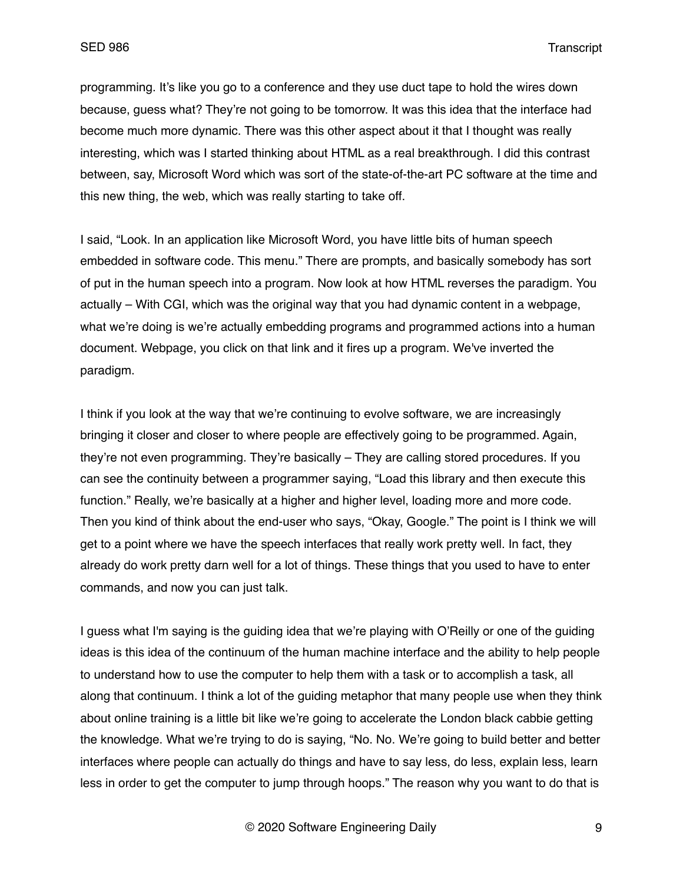programming. It's like you go to a conference and they use duct tape to hold the wires down because, guess what? They're not going to be tomorrow. It was this idea that the interface had become much more dynamic. There was this other aspect about it that I thought was really interesting, which was I started thinking about HTML as a real breakthrough. I did this contrast between, say, Microsoft Word which was sort of the state-of-the-art PC software at the time and this new thing, the web, which was really starting to take off.

I said, "Look. In an application like Microsoft Word, you have little bits of human speech embedded in software code. This menu." There are prompts, and basically somebody has sort of put in the human speech into a program. Now look at how HTML reverses the paradigm. You actually – With CGI, which was the original way that you had dynamic content in a webpage, what we're doing is we're actually embedding programs and programmed actions into a human document. Webpage, you click on that link and it fires up a program. We've inverted the paradigm.

I think if you look at the way that we're continuing to evolve software, we are increasingly bringing it closer and closer to where people are effectively going to be programmed. Again, they're not even programming. They're basically – They are calling stored procedures. If you can see the continuity between a programmer saying, "Load this library and then execute this function." Really, we're basically at a higher and higher level, loading more and more code. Then you kind of think about the end-user who says, "Okay, Google." The point is I think we will get to a point where we have the speech interfaces that really work pretty well. In fact, they already do work pretty darn well for a lot of things. These things that you used to have to enter commands, and now you can just talk.

I guess what I'm saying is the guiding idea that we're playing with O'Reilly or one of the guiding ideas is this idea of the continuum of the human machine interface and the ability to help people to understand how to use the computer to help them with a task or to accomplish a task, all along that continuum. I think a lot of the guiding metaphor that many people use when they think about online training is a little bit like we're going to accelerate the London black cabbie getting the knowledge. What we're trying to do is saying, "No. No. We're going to build better and better interfaces where people can actually do things and have to say less, do less, explain less, learn less in order to get the computer to jump through hoops." The reason why you want to do that is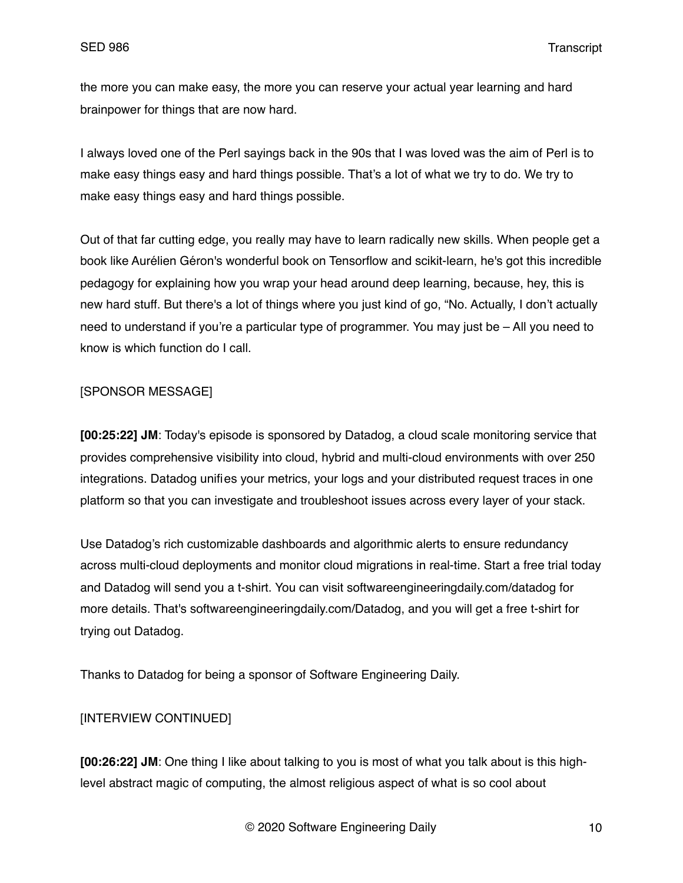the more you can make easy, the more you can reserve your actual year learning and hard brainpower for things that are now hard.

I always loved one of the Perl sayings back in the 90s that I was loved was the aim of Perl is to make easy things easy and hard things possible. That's a lot of what we try to do. We try to make easy things easy and hard things possible.

Out of that far cutting edge, you really may have to learn radically new skills. When people get a book like Aurélien Géron's wonderful book on Tensorflow and scikit-learn, he's got this incredible pedagogy for explaining how you wrap your head around deep learning, because, hey, this is new hard stuff. But there's a lot of things where you just kind of go, "No. Actually, I don't actually need to understand if you're a particular type of programmer. You may just be – All you need to know is which function do I call.

# [SPONSOR MESSAGE]

**[00:25:22] JM**: Today's episode is sponsored by Datadog, a cloud scale monitoring service that provides comprehensive visibility into cloud, hybrid and multi-cloud environments with over 250 integrations. Datadog unifies your metrics, your logs and your distributed request traces in one platform so that you can investigate and troubleshoot issues across every layer of your stack.

Use Datadog's rich customizable dashboards and algorithmic alerts to ensure redundancy across multi-cloud deployments and monitor cloud migrations in real-time. Start a free trial today and Datadog will send you a t-shirt. You can visit softwareengineeringdaily.com/datadog for more details. That's softwareengineeringdaily.com/Datadog, and you will get a free t-shirt for trying out Datadog.

Thanks to Datadog for being a sponsor of Software Engineering Daily.

# [INTERVIEW CONTINUED]

**[00:26:22] JM**: One thing I like about talking to you is most of what you talk about is this highlevel abstract magic of computing, the almost religious aspect of what is so cool about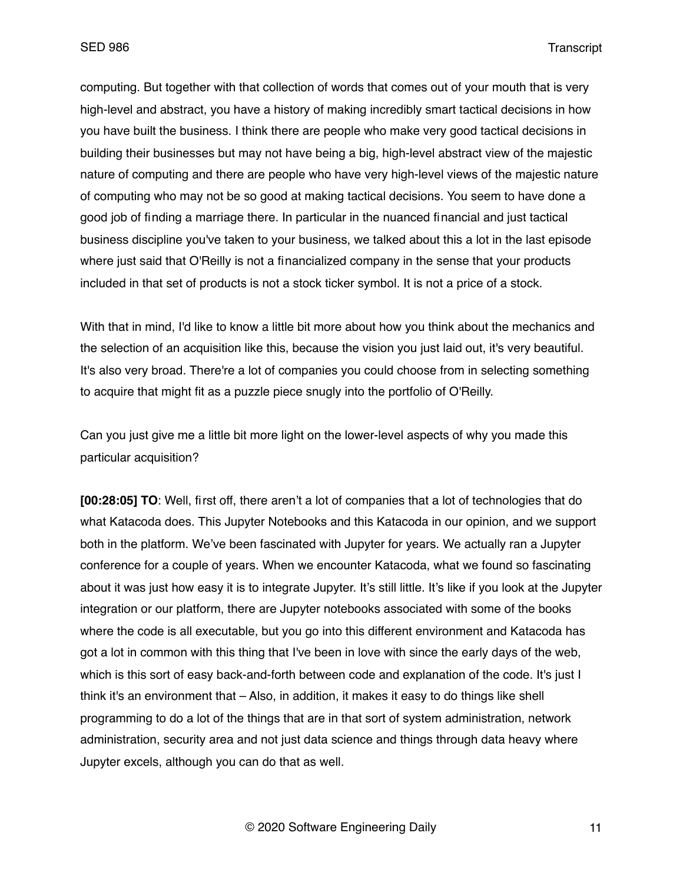computing. But together with that collection of words that comes out of your mouth that is very high-level and abstract, you have a history of making incredibly smart tactical decisions in how you have built the business. I think there are people who make very good tactical decisions in building their businesses but may not have being a big, high-level abstract view of the majestic nature of computing and there are people who have very high-level views of the majestic nature of computing who may not be so good at making tactical decisions. You seem to have done a good job of finding a marriage there. In particular in the nuanced financial and just tactical business discipline you've taken to your business, we talked about this a lot in the last episode where just said that O'Reilly is not a financialized company in the sense that your products included in that set of products is not a stock ticker symbol. It is not a price of a stock.

With that in mind, I'd like to know a little bit more about how you think about the mechanics and the selection of an acquisition like this, because the vision you just laid out, it's very beautiful. It's also very broad. There're a lot of companies you could choose from in selecting something to acquire that might fit as a puzzle piece snugly into the portfolio of O'Reilly.

Can you just give me a little bit more light on the lower-level aspects of why you made this particular acquisition?

**[00:28:05] TO**: Well, first off, there aren't a lot of companies that a lot of technologies that do what Katacoda does. This Jupyter Notebooks and this Katacoda in our opinion, and we support both in the platform. We've been fascinated with Jupyter for years. We actually ran a Jupyter conference for a couple of years. When we encounter Katacoda, what we found so fascinating about it was just how easy it is to integrate Jupyter. It's still little. It's like if you look at the Jupyter integration or our platform, there are Jupyter notebooks associated with some of the books where the code is all executable, but you go into this different environment and Katacoda has got a lot in common with this thing that I've been in love with since the early days of the web, which is this sort of easy back-and-forth between code and explanation of the code. It's just I think it's an environment that – Also, in addition, it makes it easy to do things like shell programming to do a lot of the things that are in that sort of system administration, network administration, security area and not just data science and things through data heavy where Jupyter excels, although you can do that as well.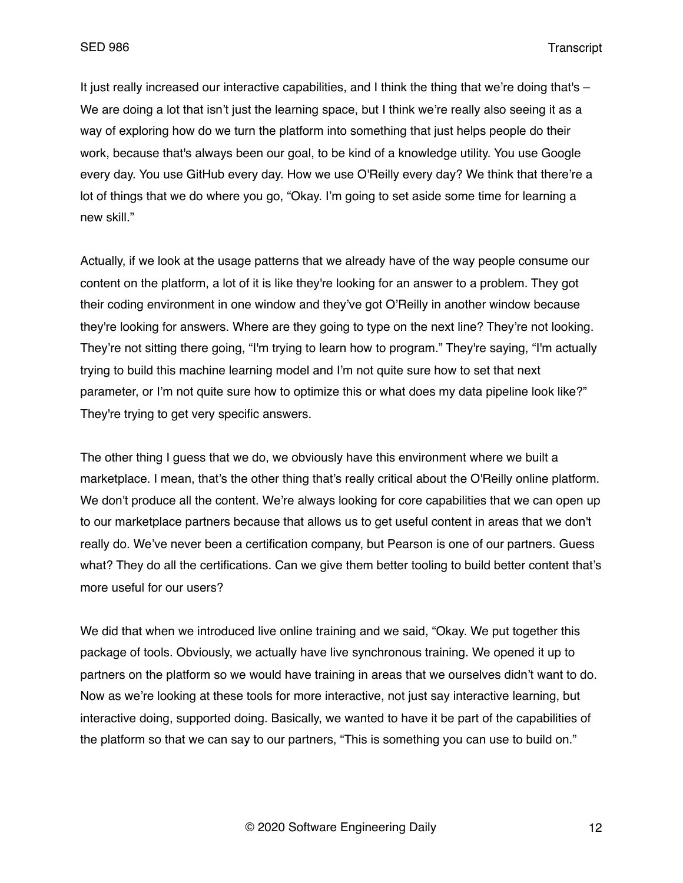It just really increased our interactive capabilities, and I think the thing that we're doing that's – We are doing a lot that isn't just the learning space, but I think we're really also seeing it as a way of exploring how do we turn the platform into something that just helps people do their work, because that's always been our goal, to be kind of a knowledge utility. You use Google every day. You use GitHub every day. How we use O'Reilly every day? We think that there're a lot of things that we do where you go, "Okay. I'm going to set aside some time for learning a new skill."

Actually, if we look at the usage patterns that we already have of the way people consume our content on the platform, a lot of it is like they're looking for an answer to a problem. They got their coding environment in one window and they've got O'Reilly in another window because they're looking for answers. Where are they going to type on the next line? They're not looking. They're not sitting there going, "I'm trying to learn how to program." They're saying, "I'm actually trying to build this machine learning model and I'm not quite sure how to set that next parameter, or I'm not quite sure how to optimize this or what does my data pipeline look like?" They're trying to get very specific answers.

The other thing I guess that we do, we obviously have this environment where we built a marketplace. I mean, that's the other thing that's really critical about the O'Reilly online platform. We don't produce all the content. We're always looking for core capabilities that we can open up to our marketplace partners because that allows us to get useful content in areas that we don't really do. We've never been a certification company, but Pearson is one of our partners. Guess what? They do all the certifications. Can we give them better tooling to build better content that's more useful for our users?

We did that when we introduced live online training and we said, "Okay. We put together this package of tools. Obviously, we actually have live synchronous training. We opened it up to partners on the platform so we would have training in areas that we ourselves didn't want to do. Now as we're looking at these tools for more interactive, not just say interactive learning, but interactive doing, supported doing. Basically, we wanted to have it be part of the capabilities of the platform so that we can say to our partners, "This is something you can use to build on."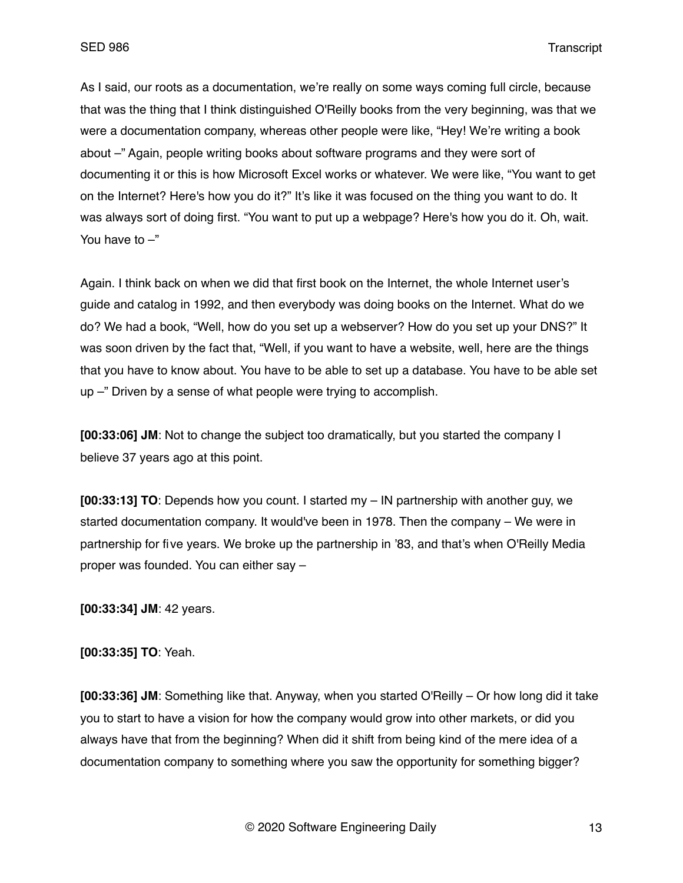As I said, our roots as a documentation, we're really on some ways coming full circle, because that was the thing that I think distinguished O'Reilly books from the very beginning, was that we were a documentation company, whereas other people were like, "Hey! We're writing a book about –" Again, people writing books about software programs and they were sort of documenting it or this is how Microsoft Excel works or whatever. We were like, "You want to get on the Internet? Here's how you do it?" It's like it was focused on the thing you want to do. It was always sort of doing first. "You want to put up a webpage? Here's how you do it. Oh, wait. You have to  $-$ "

Again. I think back on when we did that first book on the Internet, the whole Internet user's guide and catalog in 1992, and then everybody was doing books on the Internet. What do we do? We had a book, "Well, how do you set up a webserver? How do you set up your DNS?" It was soon driven by the fact that, "Well, if you want to have a website, well, here are the things that you have to know about. You have to be able to set up a database. You have to be able set up –" Driven by a sense of what people were trying to accomplish.

**[00:33:06] JM**: Not to change the subject too dramatically, but you started the company I believe 37 years ago at this point.

**[00:33:13] TO**: Depends how you count. I started my – IN partnership with another guy, we started documentation company. It would've been in 1978. Then the company – We were in partnership for five years. We broke up the partnership in '83, and that's when O'Reilly Media proper was founded. You can either say –

**[00:33:34] JM**: 42 years.

**[00:33:35] TO**: Yeah.

**[00:33:36] JM**: Something like that. Anyway, when you started O'Reilly – Or how long did it take you to start to have a vision for how the company would grow into other markets, or did you always have that from the beginning? When did it shift from being kind of the mere idea of a documentation company to something where you saw the opportunity for something bigger?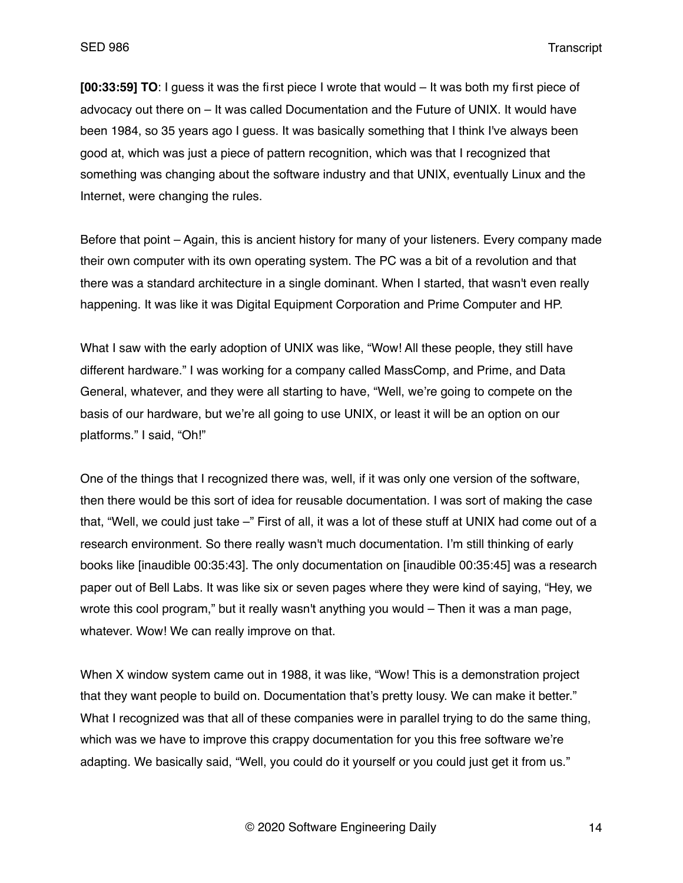**[00:33:59] TO**: I guess it was the first piece I wrote that would – It was both my first piece of advocacy out there on – It was called Documentation and the Future of UNIX. It would have been 1984, so 35 years ago I guess. It was basically something that I think I've always been good at, which was just a piece of pattern recognition, which was that I recognized that something was changing about the software industry and that UNIX, eventually Linux and the Internet, were changing the rules.

Before that point – Again, this is ancient history for many of your listeners. Every company made their own computer with its own operating system. The PC was a bit of a revolution and that there was a standard architecture in a single dominant. When I started, that wasn't even really happening. It was like it was Digital Equipment Corporation and Prime Computer and HP.

What I saw with the early adoption of UNIX was like, "Wow! All these people, they still have different hardware." I was working for a company called MassComp, and Prime, and Data General, whatever, and they were all starting to have, "Well, we're going to compete on the basis of our hardware, but we're all going to use UNIX, or least it will be an option on our platforms." I said, "Oh!"

One of the things that I recognized there was, well, if it was only one version of the software, then there would be this sort of idea for reusable documentation. I was sort of making the case that, "Well, we could just take –" First of all, it was a lot of these stuff at UNIX had come out of a research environment. So there really wasn't much documentation. I'm still thinking of early books like [inaudible 00:35:43]. The only documentation on [inaudible 00:35:45] was a research paper out of Bell Labs. It was like six or seven pages where they were kind of saying, "Hey, we wrote this cool program," but it really wasn't anything you would – Then it was a man page, whatever. Wow! We can really improve on that.

When X window system came out in 1988, it was like, "Wow! This is a demonstration project that they want people to build on. Documentation that's pretty lousy. We can make it better." What I recognized was that all of these companies were in parallel trying to do the same thing, which was we have to improve this crappy documentation for you this free software we're adapting. We basically said, "Well, you could do it yourself or you could just get it from us."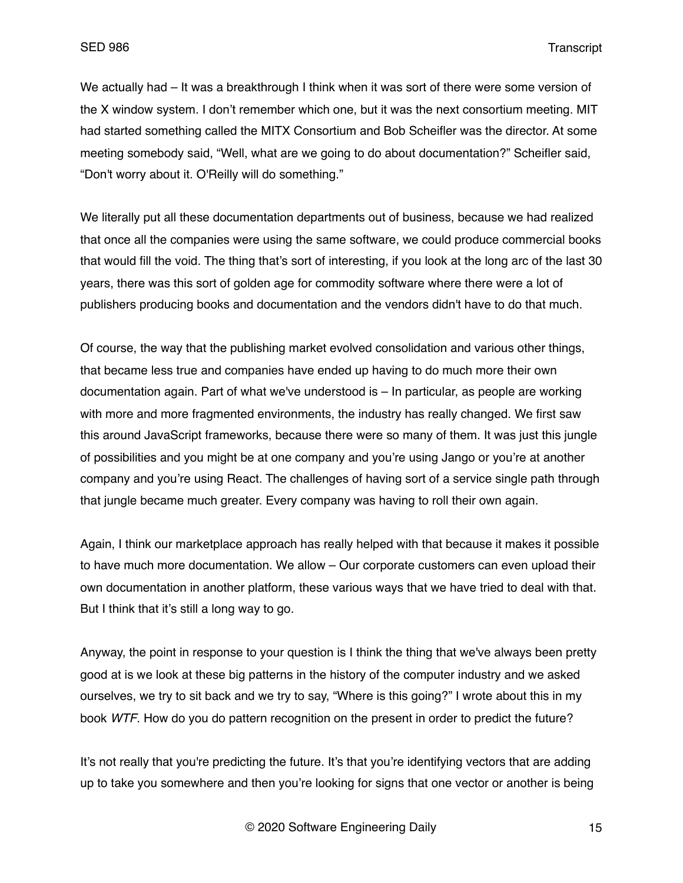We actually had – It was a breakthrough I think when it was sort of there were some version of the X window system. I don't remember which one, but it was the next consortium meeting. MIT had started something called the MITX Consortium and Bob Scheifler was the director. At some meeting somebody said, "Well, what are we going to do about documentation?" Scheifler said, "Don't worry about it. O'Reilly will do something."

We literally put all these documentation departments out of business, because we had realized that once all the companies were using the same software, we could produce commercial books that would fill the void. The thing that's sort of interesting, if you look at the long arc of the last 30 years, there was this sort of golden age for commodity software where there were a lot of publishers producing books and documentation and the vendors didn't have to do that much.

Of course, the way that the publishing market evolved consolidation and various other things, that became less true and companies have ended up having to do much more their own documentation again. Part of what we've understood is – In particular, as people are working with more and more fragmented environments, the industry has really changed. We first saw this around JavaScript frameworks, because there were so many of them. It was just this jungle of possibilities and you might be at one company and you're using Jango or you're at another company and you're using React. The challenges of having sort of a service single path through that jungle became much greater. Every company was having to roll their own again.

Again, I think our marketplace approach has really helped with that because it makes it possible to have much more documentation. We allow – Our corporate customers can even upload their own documentation in another platform, these various ways that we have tried to deal with that. But I think that it's still a long way to go.

Anyway, the point in response to your question is I think the thing that we've always been pretty good at is we look at these big patterns in the history of the computer industry and we asked ourselves, we try to sit back and we try to say, "Where is this going?" I wrote about this in my book *WTF*. How do you do pattern recognition on the present in order to predict the future?

It's not really that you're predicting the future. It's that you're identifying vectors that are adding up to take you somewhere and then you're looking for signs that one vector or another is being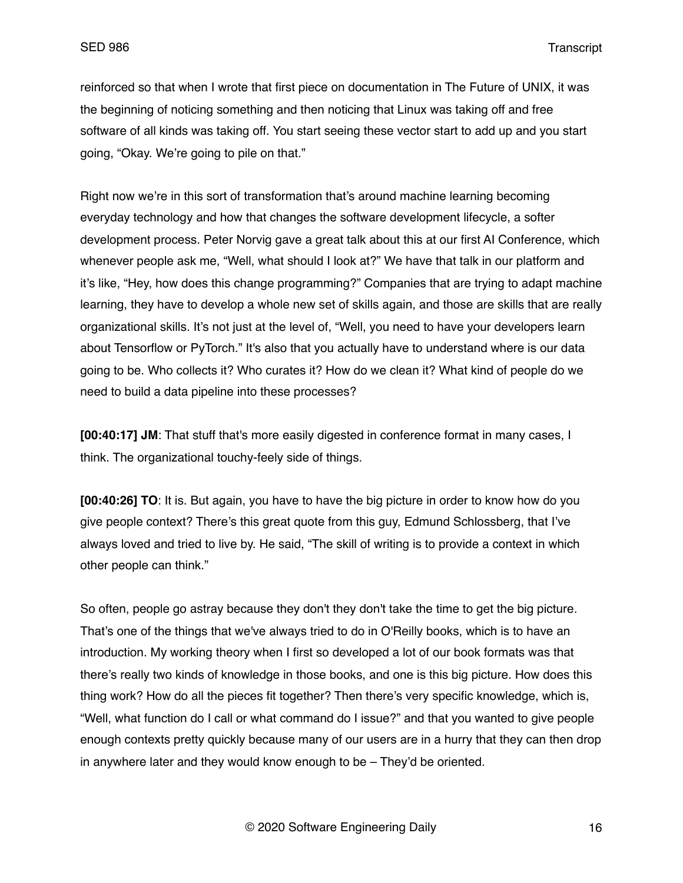reinforced so that when I wrote that first piece on documentation in The Future of UNIX, it was the beginning of noticing something and then noticing that Linux was taking off and free software of all kinds was taking off. You start seeing these vector start to add up and you start going, "Okay. We're going to pile on that."

Right now we're in this sort of transformation that's around machine learning becoming everyday technology and how that changes the software development lifecycle, a softer development process. Peter Norvig gave a great talk about this at our first AI Conference, which whenever people ask me, "Well, what should I look at?" We have that talk in our platform and it's like, "Hey, how does this change programming?" Companies that are trying to adapt machine learning, they have to develop a whole new set of skills again, and those are skills that are really organizational skills. It's not just at the level of, "Well, you need to have your developers learn about Tensorflow or PyTorch." It's also that you actually have to understand where is our data going to be. Who collects it? Who curates it? How do we clean it? What kind of people do we need to build a data pipeline into these processes?

**[00:40:17] JM**: That stuff that's more easily digested in conference format in many cases, I think. The organizational touchy-feely side of things.

**[00:40:26] TO**: It is. But again, you have to have the big picture in order to know how do you give people context? There's this great quote from this guy, Edmund Schlossberg, that I've always loved and tried to live by. He said, "The skill of writing is to provide a context in which other people can think."

So often, people go astray because they don't they don't take the time to get the big picture. That's one of the things that we've always tried to do in O'Reilly books, which is to have an introduction. My working theory when I first so developed a lot of our book formats was that there's really two kinds of knowledge in those books, and one is this big picture. How does this thing work? How do all the pieces fit together? Then there's very specific knowledge, which is, "Well, what function do I call or what command do I issue?" and that you wanted to give people enough contexts pretty quickly because many of our users are in a hurry that they can then drop in anywhere later and they would know enough to be – They'd be oriented.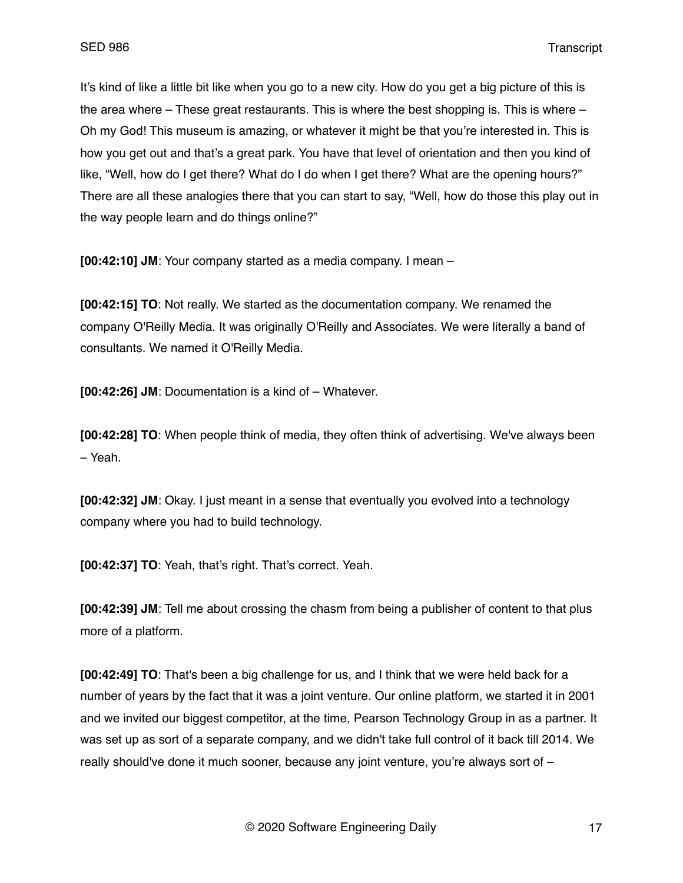It's kind of like a little bit like when you go to a new city. How do you get a big picture of this is the area where – These great restaurants. This is where the best shopping is. This is where – Oh my God! This museum is amazing, or whatever it might be that you're interested in. This is how you get out and that's a great park. You have that level of orientation and then you kind of like, "Well, how do I get there? What do I do when I get there? What are the opening hours?" There are all these analogies there that you can start to say, "Well, how do those this play out in the way people learn and do things online?"

**[00:42:10] JM**: Your company started as a media company. I mean –

**[00:42:15] TO**: Not really. We started as the documentation company. We renamed the company O'Reilly Media. It was originally O'Reilly and Associates. We were literally a band of consultants. We named it O'Reilly Media.

**[00:42:26] JM**: Documentation is a kind of – Whatever.

**[00:42:28] TO**: When people think of media, they often think of advertising. We've always been – Yeah.

**[00:42:32] JM**: Okay. I just meant in a sense that eventually you evolved into a technology company where you had to build technology.

**[00:42:37] TO**: Yeah, that's right. That's correct. Yeah.

**[00:42:39] JM**: Tell me about crossing the chasm from being a publisher of content to that plus more of a platform.

**[00:42:49] TO**: That's been a big challenge for us, and I think that we were held back for a number of years by the fact that it was a joint venture. Our online platform, we started it in 2001 and we invited our biggest competitor, at the time, Pearson Technology Group in as a partner. It was set up as sort of a separate company, and we didn't take full control of it back till 2014. We really should've done it much sooner, because any joint venture, you're always sort of –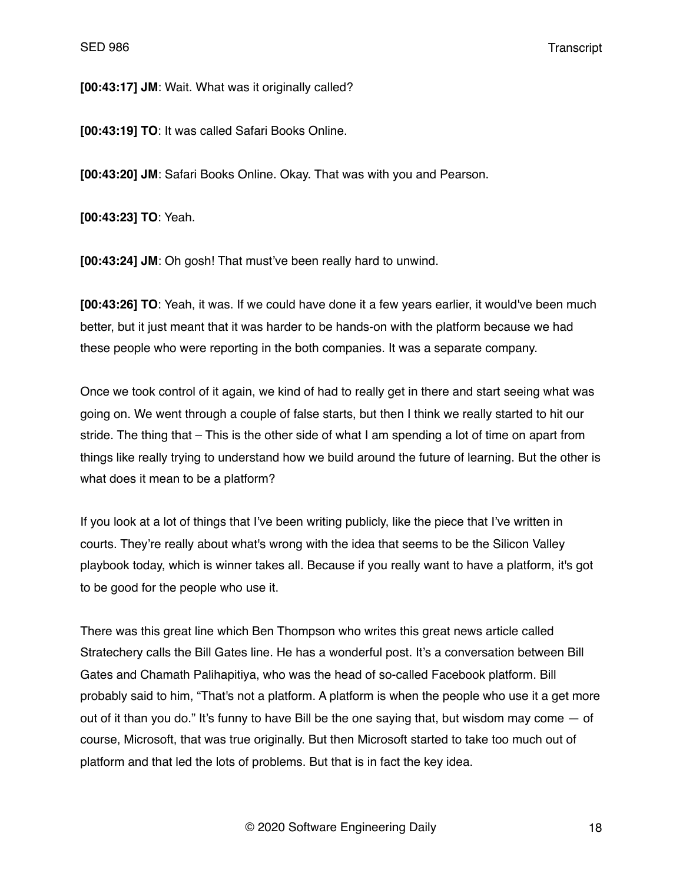**[00:43:17] JM**: Wait. What was it originally called?

**[00:43:19] TO**: It was called Safari Books Online.

**[00:43:20] JM**: Safari Books Online. Okay. That was with you and Pearson.

**[00:43:23] TO**: Yeah.

**[00:43:24] JM**: Oh gosh! That must've been really hard to unwind.

**[00:43:26] TO**: Yeah, it was. If we could have done it a few years earlier, it would've been much better, but it just meant that it was harder to be hands-on with the platform because we had these people who were reporting in the both companies. It was a separate company.

Once we took control of it again, we kind of had to really get in there and start seeing what was going on. We went through a couple of false starts, but then I think we really started to hit our stride. The thing that – This is the other side of what I am spending a lot of time on apart from things like really trying to understand how we build around the future of learning. But the other is what does it mean to be a platform?

If you look at a lot of things that I've been writing publicly, like the piece that I've written in courts. They're really about what's wrong with the idea that seems to be the Silicon Valley playbook today, which is winner takes all. Because if you really want to have a platform, it's got to be good for the people who use it.

There was this great line which Ben Thompson who writes this great news article called Stratechery calls the Bill Gates line. He has a wonderful post. It's a conversation between Bill Gates and Chamath Palihapitiya, who was the head of so-called Facebook platform. Bill probably said to him, "That's not a platform. A platform is when the people who use it a get more out of it than you do." It's funny to have Bill be the one saying that, but wisdom may come  $-$  of course, Microsoft, that was true originally. But then Microsoft started to take too much out of platform and that led the lots of problems. But that is in fact the key idea.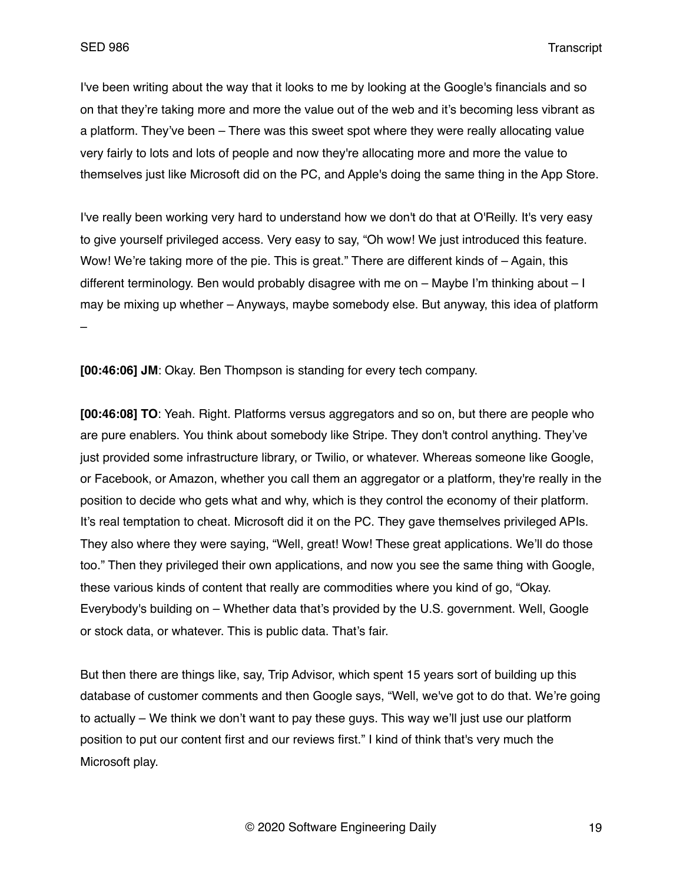I've been writing about the way that it looks to me by looking at the Google's financials and so on that they're taking more and more the value out of the web and it's becoming less vibrant as a platform. They've been – There was this sweet spot where they were really allocating value very fairly to lots and lots of people and now they're allocating more and more the value to themselves just like Microsoft did on the PC, and Apple's doing the same thing in the App Store.

I've really been working very hard to understand how we don't do that at O'Reilly. It's very easy to give yourself privileged access. Very easy to say, "Oh wow! We just introduced this feature. Wow! We're taking more of the pie. This is great." There are different kinds of  $-$  Again, this different terminology. Ben would probably disagree with me on – Maybe I'm thinking about – I may be mixing up whether – Anyways, maybe somebody else. But anyway, this idea of platform –

**[00:46:06] JM**: Okay. Ben Thompson is standing for every tech company.

**[00:46:08] TO**: Yeah. Right. Platforms versus aggregators and so on, but there are people who are pure enablers. You think about somebody like Stripe. They don't control anything. They've just provided some infrastructure library, or Twilio, or whatever. Whereas someone like Google, or Facebook, or Amazon, whether you call them an aggregator or a platform, they're really in the position to decide who gets what and why, which is they control the economy of their platform. It's real temptation to cheat. Microsoft did it on the PC. They gave themselves privileged APIs. They also where they were saying, "Well, great! Wow! These great applications. We'll do those too." Then they privileged their own applications, and now you see the same thing with Google, these various kinds of content that really are commodities where you kind of go, "Okay. Everybody's building on – Whether data that's provided by the U.S. government. Well, Google or stock data, or whatever. This is public data. That's fair.

But then there are things like, say, Trip Advisor, which spent 15 years sort of building up this database of customer comments and then Google says, "Well, we've got to do that. We're going to actually – We think we don't want to pay these guys. This way we'll just use our platform position to put our content first and our reviews first." I kind of think that's very much the Microsoft play.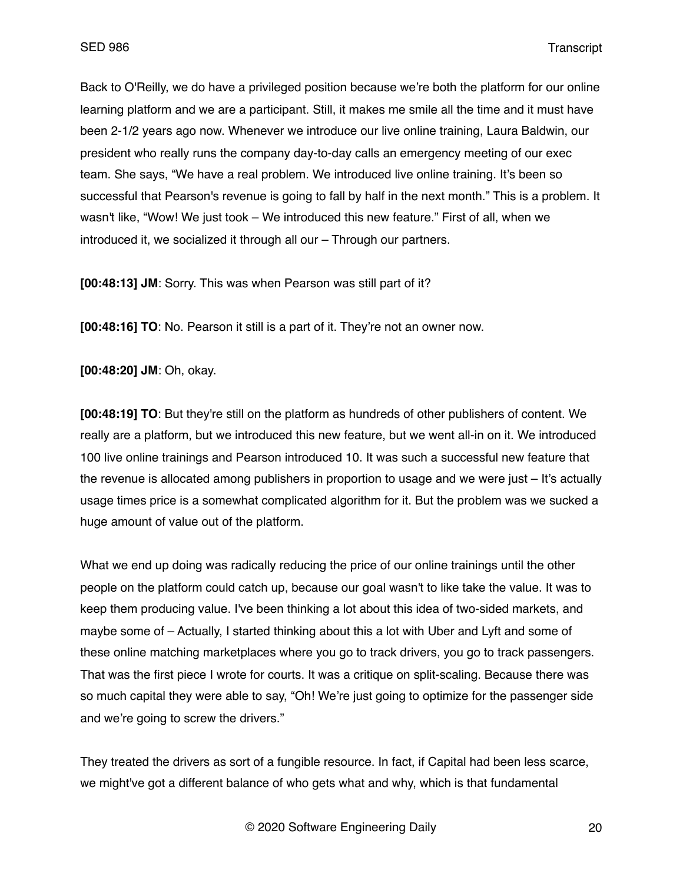Back to O'Reilly, we do have a privileged position because we're both the platform for our online learning platform and we are a participant. Still, it makes me smile all the time and it must have been 2-1/2 years ago now. Whenever we introduce our live online training, Laura Baldwin, our president who really runs the company day-to-day calls an emergency meeting of our exec team. She says, "We have a real problem. We introduced live online training. It's been so successful that Pearson's revenue is going to fall by half in the next month." This is a problem. It wasn't like, "Wow! We just took – We introduced this new feature." First of all, when we introduced it, we socialized it through all our – Through our partners.

**[00:48:13] JM**: Sorry. This was when Pearson was still part of it?

**[00:48:16] TO**: No. Pearson it still is a part of it. They're not an owner now.

**[00:48:20] JM**: Oh, okay.

**[00:48:19] TO**: But they're still on the platform as hundreds of other publishers of content. We really are a platform, but we introduced this new feature, but we went all-in on it. We introduced 100 live online trainings and Pearson introduced 10. It was such a successful new feature that the revenue is allocated among publishers in proportion to usage and we were just – It's actually usage times price is a somewhat complicated algorithm for it. But the problem was we sucked a huge amount of value out of the platform.

What we end up doing was radically reducing the price of our online trainings until the other people on the platform could catch up, because our goal wasn't to like take the value. It was to keep them producing value. I've been thinking a lot about this idea of two-sided markets, and maybe some of – Actually, I started thinking about this a lot with Uber and Lyft and some of these online matching marketplaces where you go to track drivers, you go to track passengers. That was the first piece I wrote for courts. It was a critique on split-scaling. Because there was so much capital they were able to say, "Oh! We're just going to optimize for the passenger side and we're going to screw the drivers."

They treated the drivers as sort of a fungible resource. In fact, if Capital had been less scarce, we might've got a different balance of who gets what and why, which is that fundamental

© 2020 Software Engineering Daily 20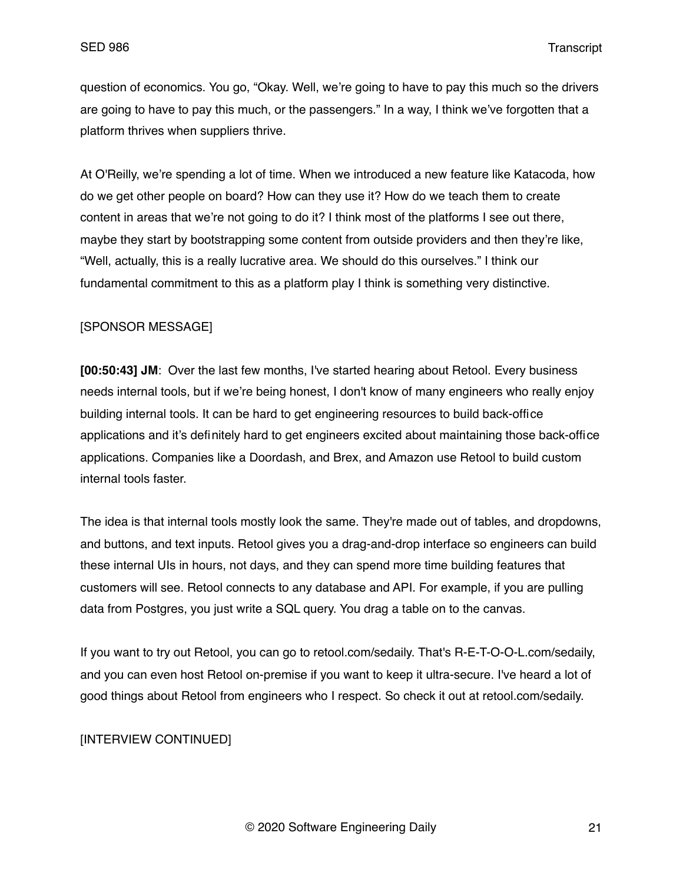question of economics. You go, "Okay. Well, we're going to have to pay this much so the drivers are going to have to pay this much, or the passengers." In a way, I think we've forgotten that a platform thrives when suppliers thrive.

At O'Reilly, we're spending a lot of time. When we introduced a new feature like Katacoda, how do we get other people on board? How can they use it? How do we teach them to create content in areas that we're not going to do it? I think most of the platforms I see out there, maybe they start by bootstrapping some content from outside providers and then they're like, "Well, actually, this is a really lucrative area. We should do this ourselves." I think our fundamental commitment to this as a platform play I think is something very distinctive.

# [SPONSOR MESSAGE]

**[00:50:43] JM**: Over the last few months, I've started hearing about Retool. Every business needs internal tools, but if we're being honest, I don't know of many engineers who really enjoy building internal tools. It can be hard to get engineering resources to build back-office applications and it's definitely hard to get engineers excited about maintaining those back-office applications. Companies like a Doordash, and Brex, and Amazon use Retool to build custom internal tools faster.

The idea is that internal tools mostly look the same. They're made out of tables, and dropdowns, and buttons, and text inputs. Retool gives you a drag-and-drop interface so engineers can build these internal UIs in hours, not days, and they can spend more time building features that customers will see. Retool connects to any database and API. For example, if you are pulling data from Postgres, you just write a SQL query. You drag a table on to the canvas.

If you want to try out Retool, you can go to retool.com/sedaily. That's R-E-T-O-O-L.com/sedaily, and you can even host Retool on-premise if you want to keep it ultra-secure. I've heard a lot of good things about Retool from engineers who I respect. So check it out at retool.com/sedaily.

## [INTERVIEW CONTINUED]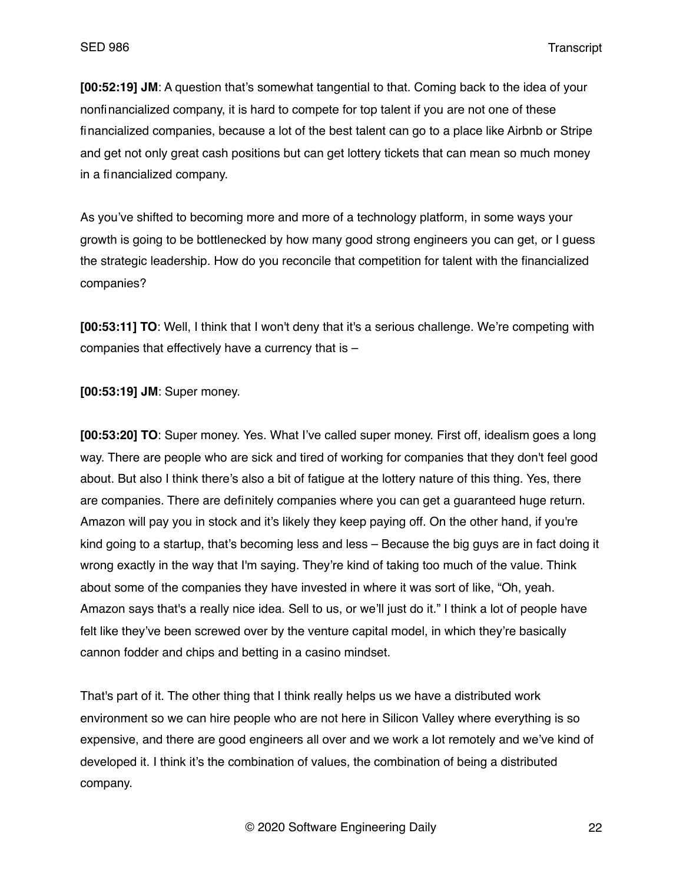**[00:52:19] JM**: A question that's somewhat tangential to that. Coming back to the idea of your nonfinancialized company, it is hard to compete for top talent if you are not one of these financialized companies, because a lot of the best talent can go to a place like Airbnb or Stripe and get not only great cash positions but can get lottery tickets that can mean so much money in a financialized company.

As you've shifted to becoming more and more of a technology platform, in some ways your growth is going to be bottlenecked by how many good strong engineers you can get, or I guess the strategic leadership. How do you reconcile that competition for talent with the financialized companies?

**[00:53:11] TO**: Well, I think that I won't deny that it's a serious challenge. We're competing with companies that effectively have a currency that is –

**[00:53:19] JM**: Super money.

**[00:53:20] TO**: Super money. Yes. What I've called super money. First off, idealism goes a long way. There are people who are sick and tired of working for companies that they don't feel good about. But also I think there's also a bit of fatigue at the lottery nature of this thing. Yes, there are companies. There are definitely companies where you can get a guaranteed huge return. Amazon will pay you in stock and it's likely they keep paying off. On the other hand, if you're kind going to a startup, that's becoming less and less – Because the big guys are in fact doing it wrong exactly in the way that I'm saying. They're kind of taking too much of the value. Think about some of the companies they have invested in where it was sort of like, "Oh, yeah. Amazon says that's a really nice idea. Sell to us, or we'll just do it." I think a lot of people have felt like they've been screwed over by the venture capital model, in which they're basically cannon fodder and chips and betting in a casino mindset.

That's part of it. The other thing that I think really helps us we have a distributed work environment so we can hire people who are not here in Silicon Valley where everything is so expensive, and there are good engineers all over and we work a lot remotely and we've kind of developed it. I think it's the combination of values, the combination of being a distributed company.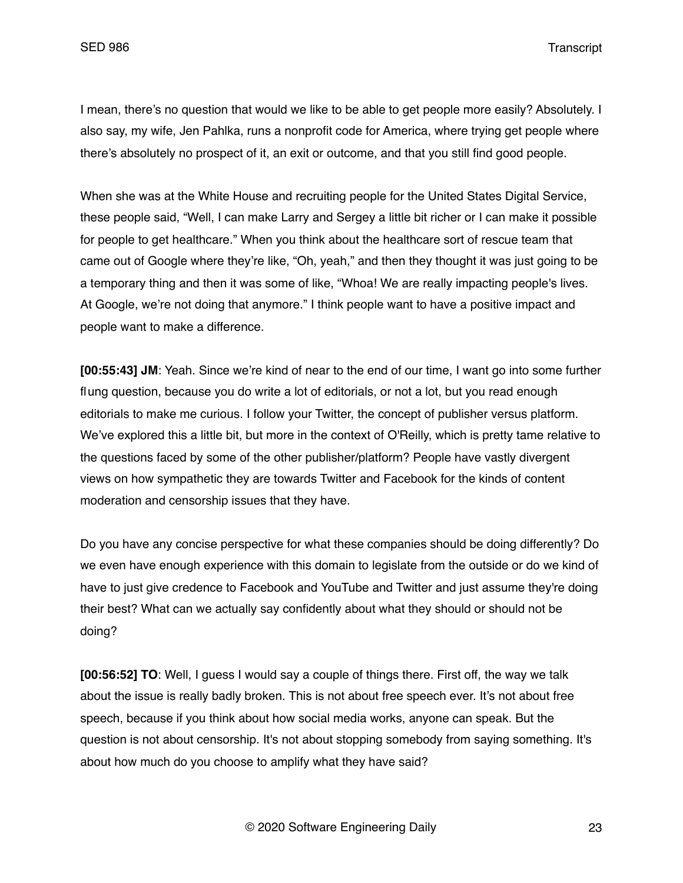I mean, there's no question that would we like to be able to get people more easily? Absolutely. I also say, my wife, Jen Pahlka, runs a nonprofit code for America, where trying get people where there's absolutely no prospect of it, an exit or outcome, and that you still find good people.

When she was at the White House and recruiting people for the United States Digital Service, these people said, "Well, I can make Larry and Sergey a little bit richer or I can make it possible for people to get healthcare." When you think about the healthcare sort of rescue team that came out of Google where they're like, "Oh, yeah," and then they thought it was just going to be a temporary thing and then it was some of like, "Whoa! We are really impacting people's lives. At Google, we're not doing that anymore." I think people want to have a positive impact and people want to make a difference.

**[00:55:43] JM**: Yeah. Since we're kind of near to the end of our time, I want go into some further flung question, because you do write a lot of editorials, or not a lot, but you read enough editorials to make me curious. I follow your Twitter, the concept of publisher versus platform. We've explored this a little bit, but more in the context of O'Reilly, which is pretty tame relative to the questions faced by some of the other publisher/platform? People have vastly divergent views on how sympathetic they are towards Twitter and Facebook for the kinds of content moderation and censorship issues that they have.

Do you have any concise perspective for what these companies should be doing differently? Do we even have enough experience with this domain to legislate from the outside or do we kind of have to just give credence to Facebook and YouTube and Twitter and just assume they're doing their best? What can we actually say confidently about what they should or should not be doing?

**[00:56:52] TO**: Well, I guess I would say a couple of things there. First off, the way we talk about the issue is really badly broken. This is not about free speech ever. It's not about free speech, because if you think about how social media works, anyone can speak. But the question is not about censorship. It's not about stopping somebody from saying something. It's about how much do you choose to amplify what they have said?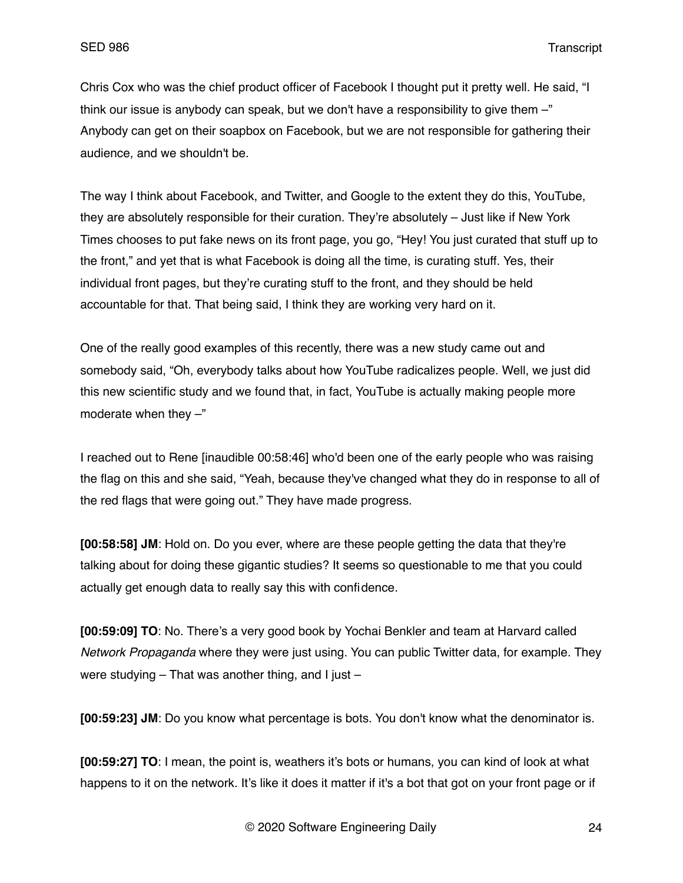Chris Cox who was the chief product officer of Facebook I thought put it pretty well. He said, "I think our issue is anybody can speak, but we don't have a responsibility to give them -" Anybody can get on their soapbox on Facebook, but we are not responsible for gathering their audience, and we shouldn't be.

The way I think about Facebook, and Twitter, and Google to the extent they do this, YouTube, they are absolutely responsible for their curation. They're absolutely – Just like if New York Times chooses to put fake news on its front page, you go, "Hey! You just curated that stuff up to the front," and yet that is what Facebook is doing all the time, is curating stuff. Yes, their individual front pages, but they're curating stuff to the front, and they should be held accountable for that. That being said, I think they are working very hard on it.

One of the really good examples of this recently, there was a new study came out and somebody said, "Oh, everybody talks about how YouTube radicalizes people. Well, we just did this new scientific study and we found that, in fact, YouTube is actually making people more moderate when they  $-$ "

I reached out to Rene [inaudible 00:58:46] who'd been one of the early people who was raising the flag on this and she said, "Yeah, because they've changed what they do in response to all of the red flags that were going out." They have made progress.

**[00:58:58] JM**: Hold on. Do you ever, where are these people getting the data that they're talking about for doing these gigantic studies? It seems so questionable to me that you could actually get enough data to really say this with confidence.

**[00:59:09] TO**: No. There's a very good book by Yochai Benkler and team at Harvard called *Network Propaganda* where they were just using. You can public Twitter data, for example. They were studying – That was another thing, and I just –

**[00:59:23] JM**: Do you know what percentage is bots. You don't know what the denominator is.

**[00:59:27] TO**: I mean, the point is, weathers it's bots or humans, you can kind of look at what happens to it on the network. It's like it does it matter if it's a bot that got on your front page or if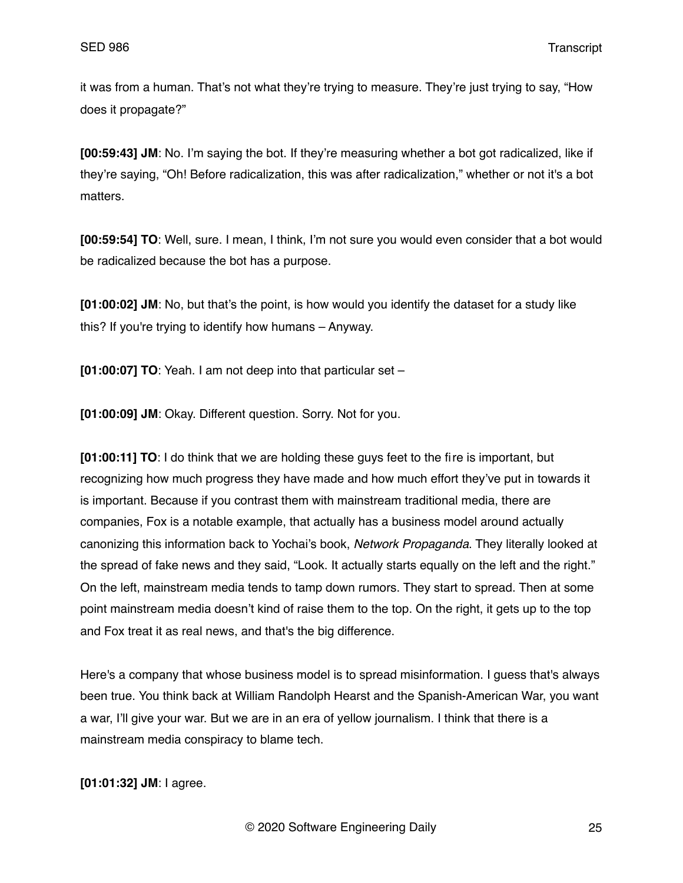it was from a human. That's not what they're trying to measure. They're just trying to say, "How does it propagate?"

**[00:59:43] JM**: No. I'm saying the bot. If they're measuring whether a bot got radicalized, like if they're saying, "Oh! Before radicalization, this was after radicalization," whether or not it's a bot matters.

**[00:59:54] TO**: Well, sure. I mean, I think, I'm not sure you would even consider that a bot would be radicalized because the bot has a purpose.

**[01:00:02] JM**: No, but that's the point, is how would you identify the dataset for a study like this? If you're trying to identify how humans – Anyway.

**[01:00:07] TO**: Yeah. I am not deep into that particular set –

**[01:00:09] JM**: Okay. Different question. Sorry. Not for you.

**[01:00:11] TO**: I do think that we are holding these guys feet to the fire is important, but recognizing how much progress they have made and how much effort they've put in towards it is important. Because if you contrast them with mainstream traditional media, there are companies, Fox is a notable example, that actually has a business model around actually canonizing this information back to Yochai's book, *Network Propaganda*. They literally looked at the spread of fake news and they said, "Look. It actually starts equally on the left and the right." On the left, mainstream media tends to tamp down rumors. They start to spread. Then at some point mainstream media doesn't kind of raise them to the top. On the right, it gets up to the top and Fox treat it as real news, and that's the big difference.

Here's a company that whose business model is to spread misinformation. I guess that's always been true. You think back at William Randolph Hearst and the Spanish-American War, you want a war, I'll give your war. But we are in an era of yellow journalism. I think that there is a mainstream media conspiracy to blame tech.

**[01:01:32] JM**: I agree.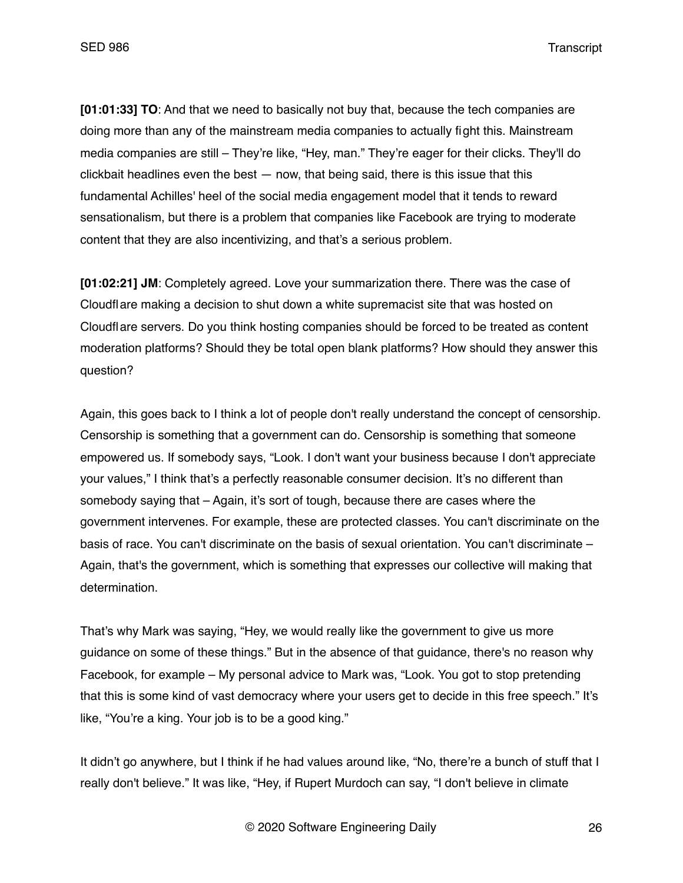**[01:01:33] TO**: And that we need to basically not buy that, because the tech companies are doing more than any of the mainstream media companies to actually fight this. Mainstream media companies are still – They're like, "Hey, man." They're eager for their clicks. They'll do  $c$ lickbait headlines even the best  $-$  now, that being said, there is this issue that this fundamental Achilles' heel of the social media engagement model that it tends to reward sensationalism, but there is a problem that companies like Facebook are trying to moderate content that they are also incentivizing, and that's a serious problem.

**[01:02:21] JM**: Completely agreed. Love your summarization there. There was the case of Cloudflare making a decision to shut down a white supremacist site that was hosted on Cloudflare servers. Do you think hosting companies should be forced to be treated as content moderation platforms? Should they be total open blank platforms? How should they answer this question?

Again, this goes back to I think a lot of people don't really understand the concept of censorship. Censorship is something that a government can do. Censorship is something that someone empowered us. If somebody says, "Look. I don't want your business because I don't appreciate your values," I think that's a perfectly reasonable consumer decision. It's no different than somebody saying that – Again, it's sort of tough, because there are cases where the government intervenes. For example, these are protected classes. You can't discriminate on the basis of race. You can't discriminate on the basis of sexual orientation. You can't discriminate – Again, that's the government, which is something that expresses our collective will making that determination.

That's why Mark was saying, "Hey, we would really like the government to give us more guidance on some of these things." But in the absence of that guidance, there's no reason why Facebook, for example – My personal advice to Mark was, "Look. You got to stop pretending that this is some kind of vast democracy where your users get to decide in this free speech." It's like, "You're a king. Your job is to be a good king."

It didn't go anywhere, but I think if he had values around like, "No, there're a bunch of stuff that I really don't believe." It was like, "Hey, if Rupert Murdoch can say, "I don't believe in climate

© 2020 Software Engineering Daily 26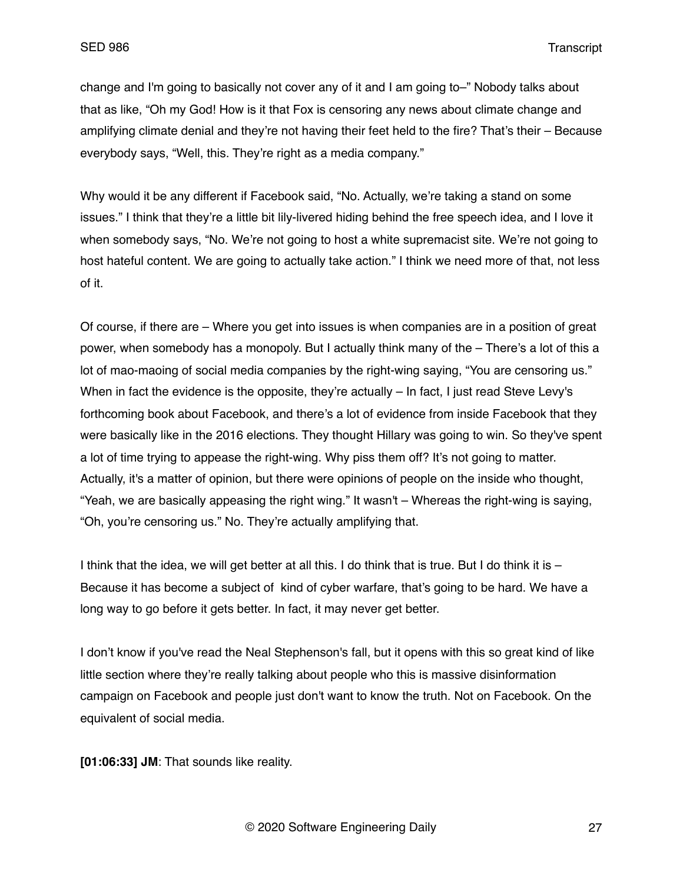change and I'm going to basically not cover any of it and I am going to–" Nobody talks about that as like, "Oh my God! How is it that Fox is censoring any news about climate change and amplifying climate denial and they're not having their feet held to the fire? That's their – Because everybody says, "Well, this. They're right as a media company."

Why would it be any different if Facebook said, "No. Actually, we're taking a stand on some issues." I think that they're a little bit lily-livered hiding behind the free speech idea, and I love it when somebody says, "No. We're not going to host a white supremacist site. We're not going to host hateful content. We are going to actually take action." I think we need more of that, not less of it.

Of course, if there are – Where you get into issues is when companies are in a position of great power, when somebody has a monopoly. But I actually think many of the – There's a lot of this a lot of mao-maoing of social media companies by the right-wing saying, "You are censoring us." When in fact the evidence is the opposite, they're actually – In fact, I just read Steve Levy's forthcoming book about Facebook, and there's a lot of evidence from inside Facebook that they were basically like in the 2016 elections. They thought Hillary was going to win. So they've spent a lot of time trying to appease the right-wing. Why piss them off? It's not going to matter. Actually, it's a matter of opinion, but there were opinions of people on the inside who thought, "Yeah, we are basically appeasing the right wing." It wasn't – Whereas the right-wing is saying, "Oh, you're censoring us." No. They're actually amplifying that.

I think that the idea, we will get better at all this. I do think that is true. But I do think it is – Because it has become a subject of kind of cyber warfare, that's going to be hard. We have a long way to go before it gets better. In fact, it may never get better.

I don't know if you've read the Neal Stephenson's fall, but it opens with this so great kind of like little section where they're really talking about people who this is massive disinformation campaign on Facebook and people just don't want to know the truth. Not on Facebook. On the equivalent of social media.

**[01:06:33] JM**: That sounds like reality.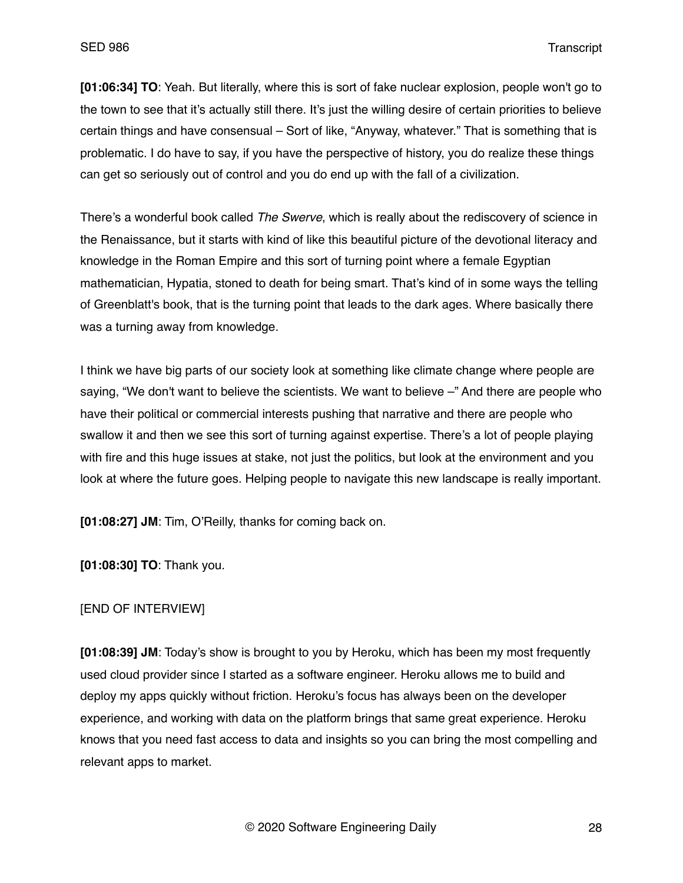**[01:06:34] TO**: Yeah. But literally, where this is sort of fake nuclear explosion, people won't go to the town to see that it's actually still there. It's just the willing desire of certain priorities to believe certain things and have consensual – Sort of like, "Anyway, whatever." That is something that is problematic. I do have to say, if you have the perspective of history, you do realize these things can get so seriously out of control and you do end up with the fall of a civilization.

There's a wonderful book called *The Swerve*, which is really about the rediscovery of science in the Renaissance, but it starts with kind of like this beautiful picture of the devotional literacy and knowledge in the Roman Empire and this sort of turning point where a female Egyptian mathematician, Hypatia, stoned to death for being smart. That's kind of in some ways the telling of Greenblatt's book, that is the turning point that leads to the dark ages. Where basically there was a turning away from knowledge.

I think we have big parts of our society look at something like climate change where people are saying, "We don't want to believe the scientists. We want to believe –" And there are people who have their political or commercial interests pushing that narrative and there are people who swallow it and then we see this sort of turning against expertise. There's a lot of people playing with fire and this huge issues at stake, not just the politics, but look at the environment and you look at where the future goes. Helping people to navigate this new landscape is really important.

**[01:08:27] JM**: Tim, O'Reilly, thanks for coming back on.

**[01:08:30] TO**: Thank you.

#### [END OF INTERVIEW]

**[01:08:39] JM**: Today's show is brought to you by Heroku, which has been my most frequently used cloud provider since I started as a software engineer. Heroku allows me to build and deploy my apps quickly without friction. Heroku's focus has always been on the developer experience, and working with data on the platform brings that same great experience. Heroku knows that you need fast access to data and insights so you can bring the most compelling and relevant apps to market.